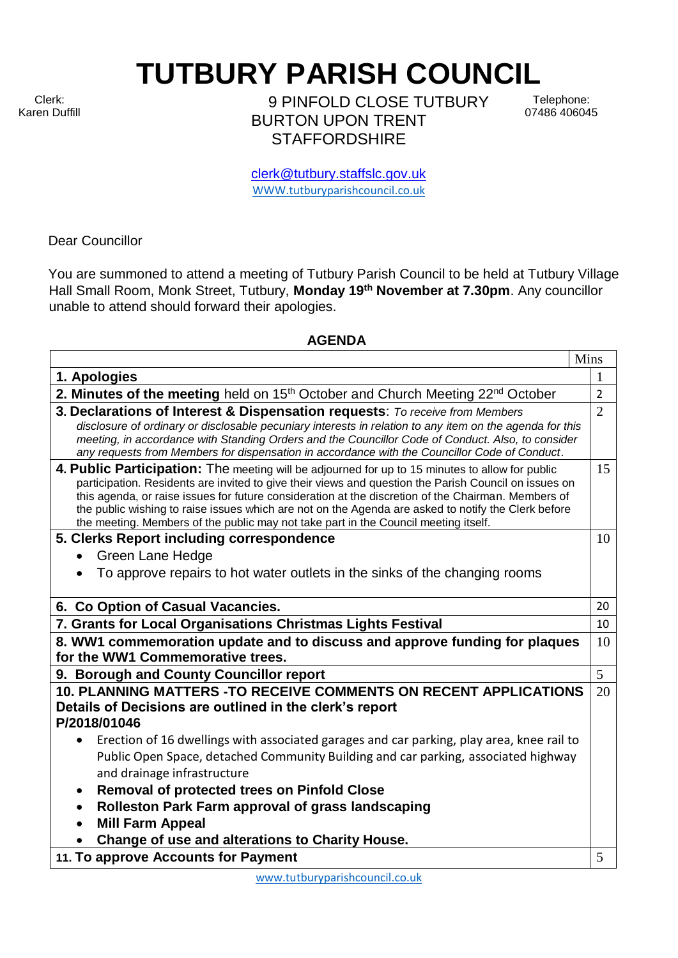Clerk: Karen Duffill **TUTBURY PARISH COUNCIL** 

9 PINFOLD CLOSE TUTBURY BURTON UPON TRENT **STAFFORDSHIRE** 

Telephone: 07486 406045

clerk@tutbury.staffslc.gov.uk [WWW.tutburyparishcouncil.co.uk](http://www.tutburyparishcouncil.co.uk/)

Dear Councillor

You are summoned to attend a meeting of Tutbury Parish Council to be held at Tutbury Village Hall Small Room, Monk Street, Tutbury, **Monday 19 th November at 7.30pm**. Any councillor unable to attend should forward their apologies.

## **AGENDA**

| Mins                                                                                                                                                                                                                                                                                                                                                                                                                                                                                                          |                |
|---------------------------------------------------------------------------------------------------------------------------------------------------------------------------------------------------------------------------------------------------------------------------------------------------------------------------------------------------------------------------------------------------------------------------------------------------------------------------------------------------------------|----------------|
| 1. Apologies                                                                                                                                                                                                                                                                                                                                                                                                                                                                                                  |                |
| 2. Minutes of the meeting held on 15 <sup>th</sup> October and Church Meeting 22 <sup>nd</sup> October                                                                                                                                                                                                                                                                                                                                                                                                        | $\overline{2}$ |
| 3. Declarations of Interest & Dispensation requests: To receive from Members<br>disclosure of ordinary or disclosable pecuniary interests in relation to any item on the agenda for this<br>meeting, in accordance with Standing Orders and the Councillor Code of Conduct. Also, to consider<br>any requests from Members for dispensation in accordance with the Councillor Code of Conduct.                                                                                                                | $\overline{2}$ |
| 4. Public Participation: The meeting will be adjourned for up to 15 minutes to allow for public<br>participation. Residents are invited to give their views and question the Parish Council on issues on<br>this agenda, or raise issues for future consideration at the discretion of the Chairman. Members of<br>the public wishing to raise issues which are not on the Agenda are asked to notify the Clerk before<br>the meeting. Members of the public may not take part in the Council meeting itself. | 15             |
| 5. Clerks Report including correspondence                                                                                                                                                                                                                                                                                                                                                                                                                                                                     | 10             |
| <b>Green Lane Hedge</b>                                                                                                                                                                                                                                                                                                                                                                                                                                                                                       |                |
| To approve repairs to hot water outlets in the sinks of the changing rooms                                                                                                                                                                                                                                                                                                                                                                                                                                    |                |
| 6. Co Option of Casual Vacancies.                                                                                                                                                                                                                                                                                                                                                                                                                                                                             | 20             |
| 7. Grants for Local Organisations Christmas Lights Festival                                                                                                                                                                                                                                                                                                                                                                                                                                                   | 10             |
| 8. WW1 commemoration update and to discuss and approve funding for plaques<br>for the WW1 Commemorative trees.                                                                                                                                                                                                                                                                                                                                                                                                | 10             |
| 9. Borough and County Councillor report                                                                                                                                                                                                                                                                                                                                                                                                                                                                       | 5              |
| <b>10. PLANNING MATTERS -TO RECEIVE COMMENTS ON RECENT APPLICATIONS</b>                                                                                                                                                                                                                                                                                                                                                                                                                                       | 20             |
| Details of Decisions are outlined in the clerk's report                                                                                                                                                                                                                                                                                                                                                                                                                                                       |                |
| P/2018/01046                                                                                                                                                                                                                                                                                                                                                                                                                                                                                                  |                |
| Erection of 16 dwellings with associated garages and car parking, play area, knee rail to                                                                                                                                                                                                                                                                                                                                                                                                                     |                |
| Public Open Space, detached Community Building and car parking, associated highway                                                                                                                                                                                                                                                                                                                                                                                                                            |                |
| and drainage infrastructure                                                                                                                                                                                                                                                                                                                                                                                                                                                                                   |                |
| <b>Removal of protected trees on Pinfold Close</b><br>٠                                                                                                                                                                                                                                                                                                                                                                                                                                                       |                |
| Rolleston Park Farm approval of grass landscaping<br>$\bullet$                                                                                                                                                                                                                                                                                                                                                                                                                                                |                |
| <b>Mill Farm Appeal</b>                                                                                                                                                                                                                                                                                                                                                                                                                                                                                       |                |
| Change of use and alterations to Charity House.                                                                                                                                                                                                                                                                                                                                                                                                                                                               |                |
| 11. To approve Accounts for Payment                                                                                                                                                                                                                                                                                                                                                                                                                                                                           | 5              |